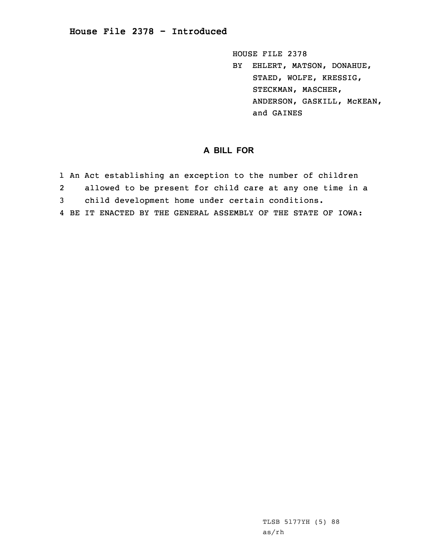HOUSE FILE 2378 BY EHLERT, MATSON, DONAHUE, STAED, WOLFE, KRESSIG, STECKMAN, MASCHER, ANDERSON, GASKILL, McKEAN, and GAINES

## **A BILL FOR**

1 An Act establishing an exception to the number of children 2 allowed to be present for child care at any one time in <sup>a</sup> 3 child development home under certain conditions. 4 BE IT ENACTED BY THE GENERAL ASSEMBLY OF THE STATE OF IOWA: